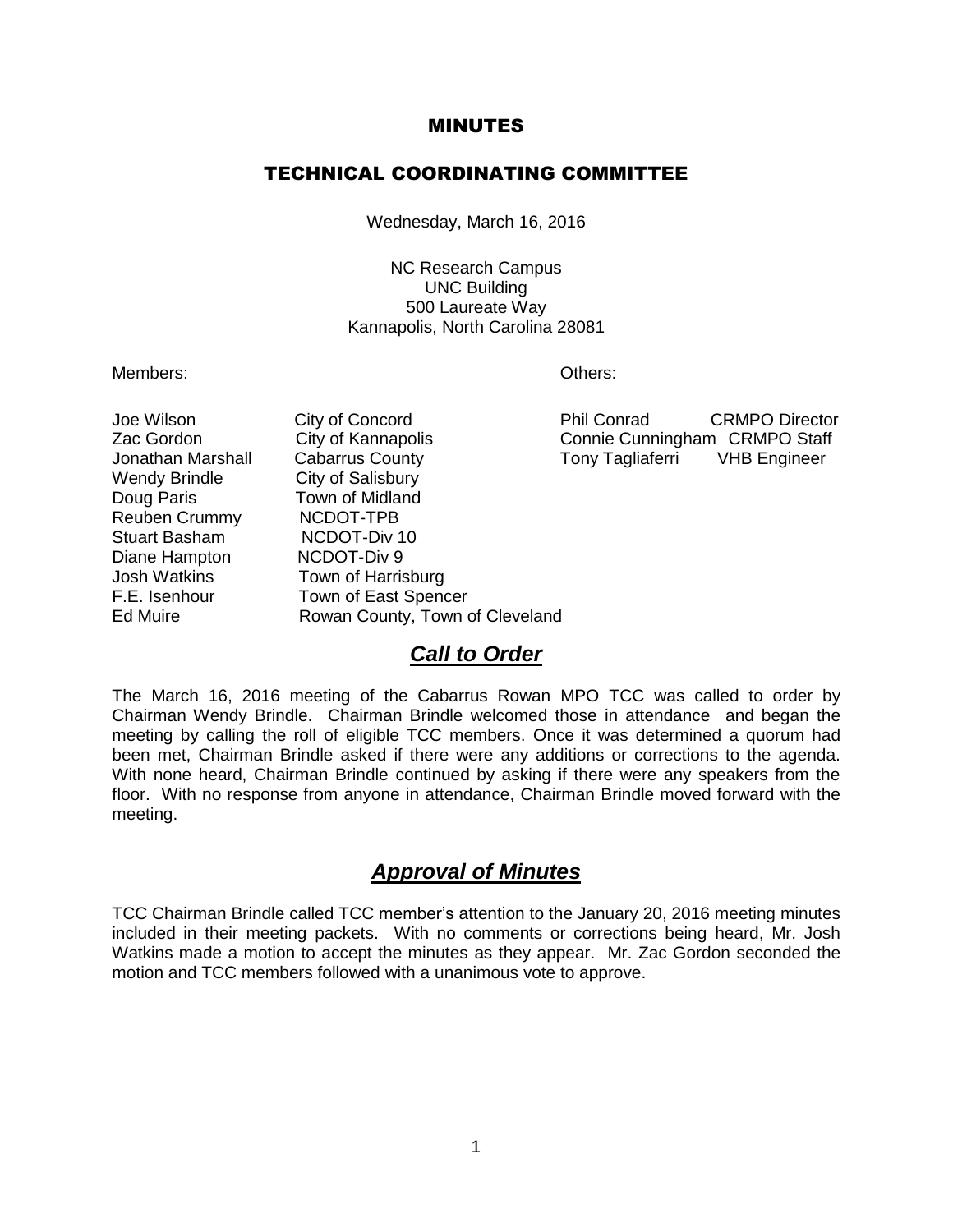#### MINUTES

#### TECHNICAL COORDINATING COMMITTEE

Wednesday, March 16, 2016

NC Research Campus UNC Building 500 Laureate Way Kannapolis, North Carolina 28081

Members: Others:

Wendy Brindle **City of Salisbury** Doug Paris **Town of Midland** Reuben Crummy NCDOT-TPB Stuart Basham NCDOT-Div 10 Diane Hampton NCDOT-Div 9 Josh Watkins Town of Harrisburg F.E. Isenhour Town of East Spencer

Jonathan Marshall Cabarrus County Tony Tagliaferri VHB Engineer Ed Muire **Rowan County, Town of Cleveland** 

Joe Wilson City of Concord Phil Conrad CRMPO Director Zac Gordon City of Kannapolis Connie Cunningham CRMPO Staff

#### *Call to Order*

The March 16, 2016 meeting of the Cabarrus Rowan MPO TCC was called to order by Chairman Wendy Brindle. Chairman Brindle welcomed those in attendance and began the meeting by calling the roll of eligible TCC members. Once it was determined a quorum had been met, Chairman Brindle asked if there were any additions or corrections to the agenda. With none heard, Chairman Brindle continued by asking if there were any speakers from the floor. With no response from anyone in attendance, Chairman Brindle moved forward with the meeting.

### *Approval of Minutes*

TCC Chairman Brindle called TCC member's attention to the January 20, 2016 meeting minutes included in their meeting packets. With no comments or corrections being heard, Mr. Josh Watkins made a motion to accept the minutes as they appear. Mr. Zac Gordon seconded the motion and TCC members followed with a unanimous vote to approve.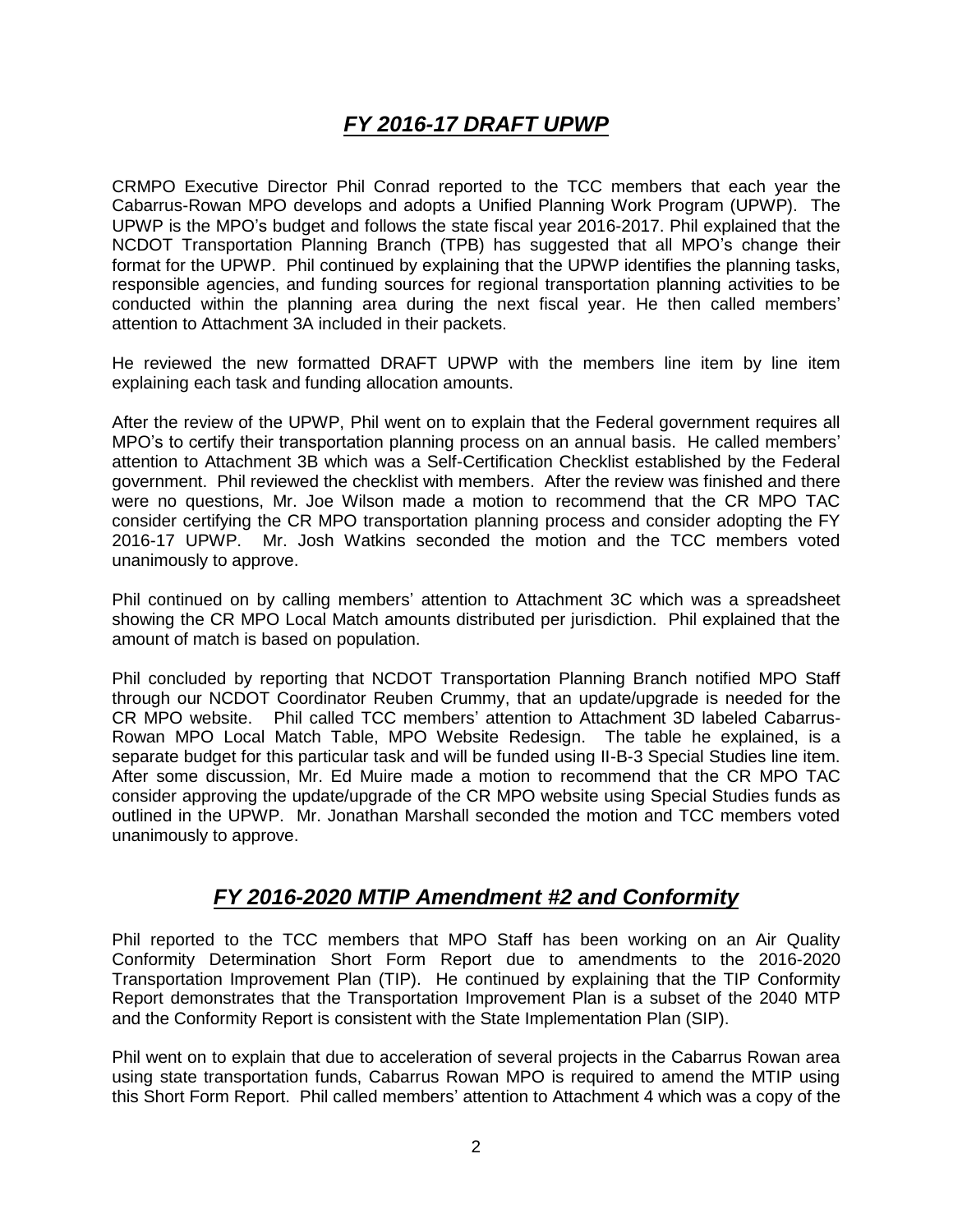# *FY 2016-17 DRAFT UPWP*

CRMPO Executive Director Phil Conrad reported to the TCC members that each year the Cabarrus-Rowan MPO develops and adopts a Unified Planning Work Program (UPWP). The UPWP is the MPO's budget and follows the state fiscal year 2016-2017. Phil explained that the NCDOT Transportation Planning Branch (TPB) has suggested that all MPO's change their format for the UPWP. Phil continued by explaining that the UPWP identifies the planning tasks, responsible agencies, and funding sources for regional transportation planning activities to be conducted within the planning area during the next fiscal year. He then called members' attention to Attachment 3A included in their packets.

He reviewed the new formatted DRAFT UPWP with the members line item by line item explaining each task and funding allocation amounts.

After the review of the UPWP, Phil went on to explain that the Federal government requires all MPO's to certify their transportation planning process on an annual basis. He called members' attention to Attachment 3B which was a Self-Certification Checklist established by the Federal government. Phil reviewed the checklist with members. After the review was finished and there were no questions, Mr. Joe Wilson made a motion to recommend that the CR MPO TAC consider certifying the CR MPO transportation planning process and consider adopting the FY 2016-17 UPWP. Mr. Josh Watkins seconded the motion and the TCC members voted unanimously to approve.

Phil continued on by calling members' attention to Attachment 3C which was a spreadsheet showing the CR MPO Local Match amounts distributed per jurisdiction. Phil explained that the amount of match is based on population.

Phil concluded by reporting that NCDOT Transportation Planning Branch notified MPO Staff through our NCDOT Coordinator Reuben Crummy, that an update/upgrade is needed for the CR MPO website. Phil called TCC members' attention to Attachment 3D labeled Cabarrus-Rowan MPO Local Match Table, MPO Website Redesign. The table he explained, is a separate budget for this particular task and will be funded using II-B-3 Special Studies line item. After some discussion, Mr. Ed Muire made a motion to recommend that the CR MPO TAC consider approving the update/upgrade of the CR MPO website using Special Studies funds as outlined in the UPWP. Mr. Jonathan Marshall seconded the motion and TCC members voted unanimously to approve.

## *FY 2016-2020 MTIP Amendment #2 and Conformity*

Phil reported to the TCC members that MPO Staff has been working on an Air Quality Conformity Determination Short Form Report due to amendments to the 2016-2020 Transportation Improvement Plan (TIP). He continued by explaining that the TIP Conformity Report demonstrates that the Transportation Improvement Plan is a subset of the 2040 MTP and the Conformity Report is consistent with the State Implementation Plan (SIP).

Phil went on to explain that due to acceleration of several projects in the Cabarrus Rowan area using state transportation funds, Cabarrus Rowan MPO is required to amend the MTIP using this Short Form Report. Phil called members' attention to Attachment 4 which was a copy of the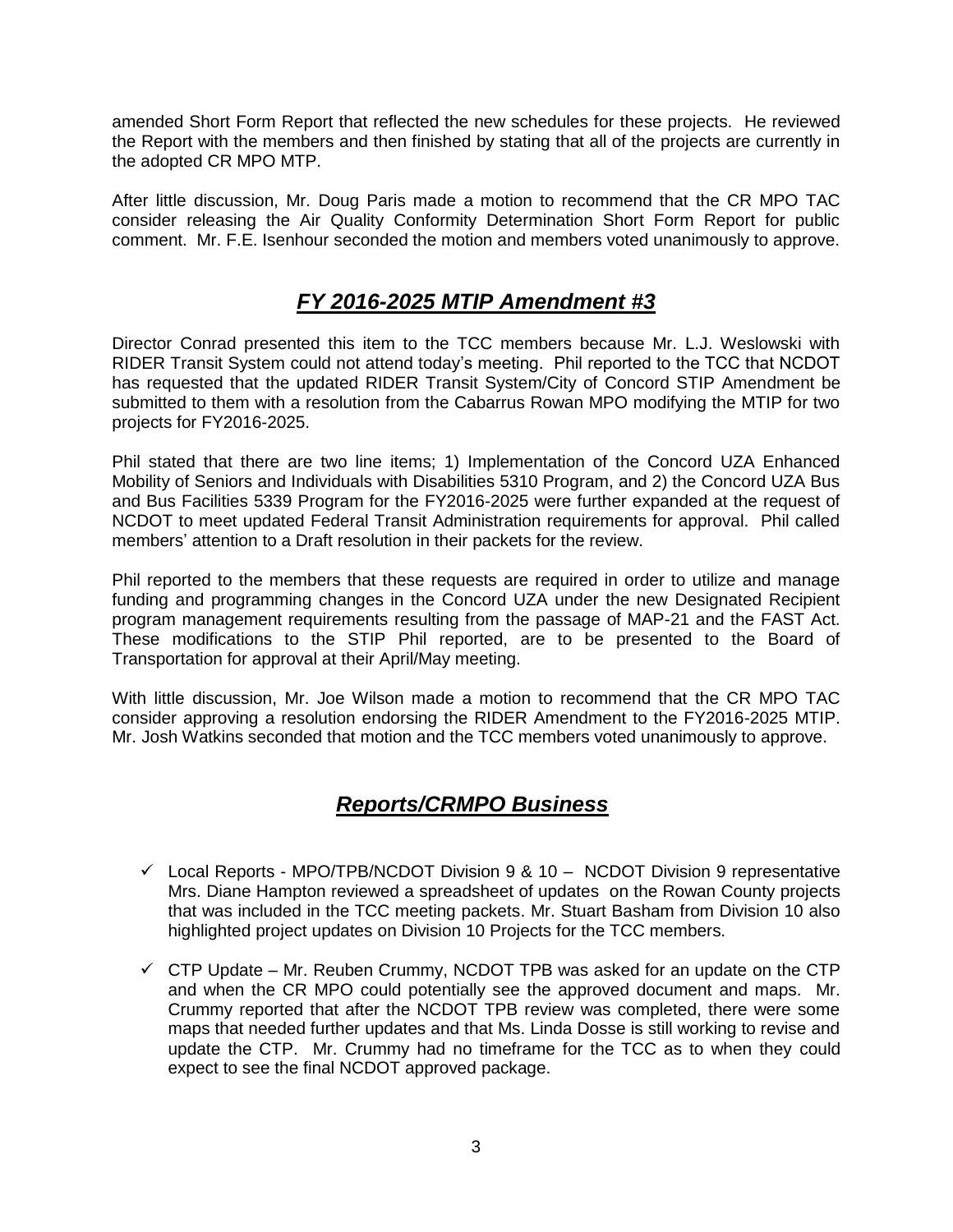amended Short Form Report that reflected the new schedules for these projects. He reviewed the Report with the members and then finished by stating that all of the projects are currently in the adopted CR MPO MTP.

After little discussion, Mr. Doug Paris made a motion to recommend that the CR MPO TAC consider releasing the Air Quality Conformity Determination Short Form Report for public comment. Mr. F.E. Isenhour seconded the motion and members voted unanimously to approve.

## *FY 2016-2025 MTIP Amendment #3*

Director Conrad presented this item to the TCC members because Mr. L.J. Weslowski with RIDER Transit System could not attend today's meeting. Phil reported to the TCC that NCDOT has requested that the updated RIDER Transit System/City of Concord STIP Amendment be submitted to them with a resolution from the Cabarrus Rowan MPO modifying the MTIP for two projects for FY2016-2025.

Phil stated that there are two line items; 1) Implementation of the Concord UZA Enhanced Mobility of Seniors and Individuals with Disabilities 5310 Program, and 2) the Concord UZA Bus and Bus Facilities 5339 Program for the FY2016-2025 were further expanded at the request of NCDOT to meet updated Federal Transit Administration requirements for approval. Phil called members' attention to a Draft resolution in their packets for the review.

Phil reported to the members that these requests are required in order to utilize and manage funding and programming changes in the Concord UZA under the new Designated Recipient program management requirements resulting from the passage of MAP-21 and the FAST Act. These modifications to the STIP Phil reported, are to be presented to the Board of Transportation for approval at their April/May meeting.

With little discussion, Mr. Joe Wilson made a motion to recommend that the CR MPO TAC consider approving a resolution endorsing the RIDER Amendment to the FY2016-2025 MTIP. Mr. Josh Watkins seconded that motion and the TCC members voted unanimously to approve.

## *Reports/CRMPO Business*

- $\checkmark$  Local Reports MPO/TPB/NCDOT Division 9 & 10 NCDOT Division 9 representative Mrs. Diane Hampton reviewed a spreadsheet of updates on the Rowan County projects that was included in the TCC meeting packets. Mr. Stuart Basham from Division 10 also highlighted project updates on Division 10 Projects for the TCC members.
- $\checkmark$  CTP Update Mr. Reuben Crummy, NCDOT TPB was asked for an update on the CTP and when the CR MPO could potentially see the approved document and maps. Mr. Crummy reported that after the NCDOT TPB review was completed, there were some maps that needed further updates and that Ms. Linda Dosse is still working to revise and update the CTP. Mr. Crummy had no timeframe for the TCC as to when they could expect to see the final NCDOT approved package.